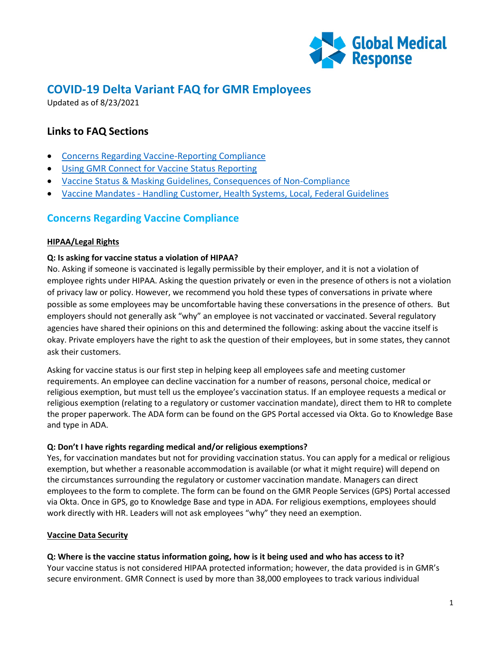

# **COVID-19 Delta Variant FAQ for GMR Employees**

Updated as of 8/23/2021

## <span id="page-0-1"></span>**Links to FAQ Sections**

- [Concerns Regarding Vaccine-Reporting Compliance](#page-0-0)
- [Using GMR Connect for Vaccine Status Reporting](#page-3-0)
- [Vaccine Status & Masking Guidelines, Consequences of Non-Compliance](#page-4-0)
- Vaccine Mandates [Handling Customer, Health Systems, Local, Federal Guidelines](#page-6-0)

## <span id="page-0-0"></span>**Concerns Regarding Vaccine Compliance**

## **HIPAA/Legal Rights**

## **Q: Is asking for vaccine status a violation of HIPAA?**

No. Asking if someone is vaccinated is legally permissible by their employer, and it is not a violation of employee rights under HIPAA. Asking the question privately or even in the presence of others is not a violation of privacy law or policy. However, we recommend you hold these types of conversations in private where possible as some employees may be uncomfortable having these conversations in the presence of others. But employers should not generally ask "why" an employee is not vaccinated or vaccinated. Several regulatory agencies have shared their opinions on this and determined the following: asking about the vaccine itself is okay. Private employers have the right to ask the question of their employees, but in some states, they cannot ask their customers.

Asking for vaccine status is our first step in helping keep all employees safe and meeting customer requirements. An employee can decline vaccination for a number of reasons, personal choice, medical or religious exemption, but must tell us the employee's vaccination status. If an employee requests a medical or religious exemption (relating to a regulatory or customer vaccination mandate), direct them to HR to complete the proper paperwork. The ADA form can be found on the GPS Portal accessed via Okta. Go to Knowledge Base and type in ADA.

## **Q: Don't I have rights regarding medical and/or religious exemptions?**

Yes, for vaccination mandates but not for providing vaccination status. You can apply for a medical or religious exemption, but whether a reasonable accommodation is available (or what it might require) will depend on the circumstances surrounding the regulatory or customer vaccination mandate. Managers can direct employees to the form to complete. The form can be found on the GMR People Services (GPS) Portal accessed via Okta. Once in GPS, go to Knowledge Base and type in ADA. For religious exemptions, employees should work directly with HR. Leaders will not ask employees "why" they need an exemption.

## **Vaccine Data Security**

## **Q: Where is the vaccine status information going, how is it being used and who has access to it?**

Your vaccine status is not considered HIPAA protected information; however, the data provided is in GMR's secure environment. GMR Connect is used by more than 38,000 employees to track various individual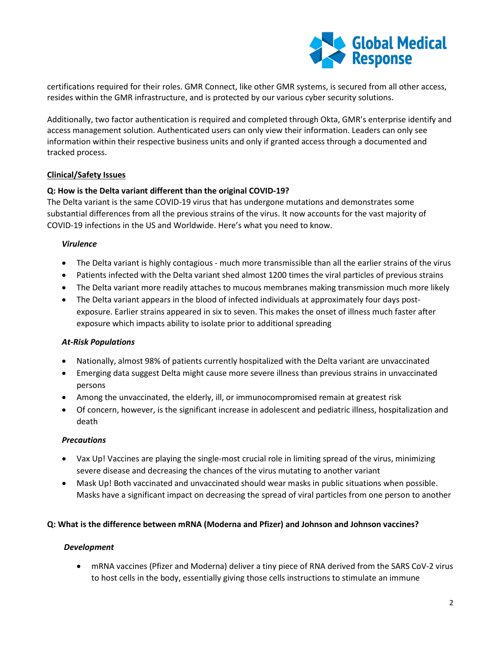

certifications required for their roles. GMR Connect, like other GMR systems, is secured from all other access, resides within the GMR infrastructure, and is protected by our various cyber security solutions.

Additionally, two factor authentication is required and completed through Okta, GMR's enterprise identify and access management solution. Authenticated users can only view their information. Leaders can only see information within their respective business units and only if granted access through a documented and tracked process.

#### **Clinical/Safety Issues**

## **Q: How is the Delta variant different than the original COVID-19?**

The Delta variant is the same COVID-19 virus that has undergone mutations and demonstrates some substantial differences from all the previous strains of the virus. It now accounts for the vast majority of COVID-19 infections in the US and Worldwide. Here's what you need to know.

## *Virulence*

- The Delta variant is highly contagious much more transmissible than all the earlier strains of the virus
- Patients infected with the Delta variant shed almost 1200 times the viral particles of previous strains
- The Delta variant more readily attaches to mucous membranes making transmission much more likely
- The Delta variant appears in the blood of infected individuals at approximately four days postexposure. Earlier strains appeared in six to seven. This makes the onset of illness much faster after exposure which impacts ability to isolate prior to additional spreading

## *At-Risk Populations*

- Nationally, almost 98% of patients currently hospitalized with the Delta variant are unvaccinated
- Emerging data suggest Delta might cause more severe illness than previous strains in unvaccinated persons
- Among the unvaccinated, the elderly, ill, or immunocompromised remain at greatest risk
- Of concern, however, is the significant increase in adolescent and pediatric illness, hospitalization and death

## *Precautions*

- Vax Up! Vaccines are playing the single-most crucial role in limiting spread of the virus, minimizing severe disease and decreasing the chances of the virus mutating to another variant
- Mask Up! Both vaccinated and unvaccinated should wear masks in public situations when possible. Masks have a significant impact on decreasing the spread of viral particles from one person to another

#### **Q: What is the difference between mRNA (Moderna and Pfizer) and Johnson and Johnson vaccines?**

#### *Development*

• mRNA vaccines (Pfizer and Moderna) deliver a tiny piece of RNA derived from the SARS CoV-2 virus to host cells in the body, essentially giving those cells instructions to stimulate an immune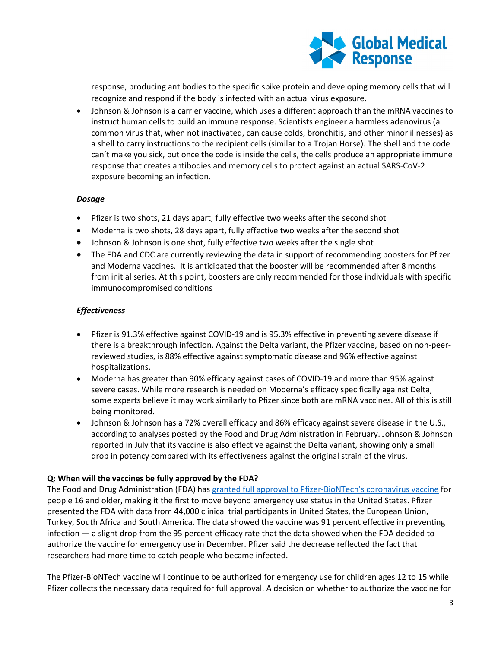

response, producing antibodies to the specific spike protein and developing memory cells that will recognize and respond if the body is infected with an actual virus exposure.

• Johnson & Johnson is a carrier vaccine, which uses a different approach than the mRNA vaccines to instruct human cells to build an immune response. Scientists engineer a harmless adenovirus (a common virus that, when not inactivated, can cause colds, bronchitis, and other minor illnesses) as a shell to carry instructions to the recipient cells (similar to a Trojan Horse). The shell and the code can't make you sick, but once the code is inside the cells, the cells produce an appropriate immune response that creates antibodies and memory cells to protect against an actual SARS-CoV-2 exposure becoming an infection.

#### *Dosage*

- Pfizer is two shots, 21 days apart, fully effective two weeks after the second shot
- Moderna is two shots, 28 days apart, fully effective two weeks after the second shot
- Johnson & Johnson is one shot, fully effective two weeks after the single shot
- The FDA and CDC are currently reviewing the data in support of recommending boosters for Pfizer and Moderna vaccines. It is anticipated that the booster will be recommended after 8 months from initial series. At this point, boosters are only recommended for those individuals with specific immunocompromised conditions

## *Effectiveness*

- Pfizer is 91.3% effective against COVID-19 and is 95.3% effective in preventing severe disease if there is a breakthrough infection. Against the Delta variant, the Pfizer vaccine, based on non-peerreviewed studies, is 88% effective against symptomatic disease and 96% effective against hospitalizations.
- Moderna has greater than 90% efficacy against cases of COVID-19 and more than 95% against severe cases. While more research is needed on Moderna's efficacy specifically against Delta, some experts believe it may work similarly to Pfizer since both are mRNA vaccines. All of this is still being monitored.
- Johnson & Johnson has [a 72% overall efficacy](https://www.nytimes.com/2021/02/24/science/johnson-johnson-covid-vaccine.html) and 86% efficacy against severe disease in the U.S., according to analyses posted by the Food and Drug Administration in February. Johnson & Johnson reported in July that its vaccine is also effective against the Delta variant, showing only a small drop in potency compared with its effectiveness against the original strain of the virus.

#### **Q: When will the vaccines be fully approved by the FDA?**

The Food and Drug Administration (FDA) has [granted full approval to Pfizer-BioNTech's coronavirus vaccine](https://www.fda.gov/news-events/press-announcements/fda-approves-first-covid-19-vaccine) for people 16 and older, making it the first to move beyond emergency use status in the United States. Pfizer presented the FDA with data from 44,000 clinical trial participants in United States, the European Union, Turkey, South Africa and South America. The data showed the vaccine was 91 percent effective in preventing infection — a slight drop from the 95 percent efficacy rate that the data showed when the FDA decided to authorize the vaccine for emergency use in December. Pfizer said the decrease reflected the fact that researchers had more time to catch people who became infected.

The Pfizer-BioNTech vaccine will continue to be authorized for emergency use for children ages 12 to 15 while Pfizer collects the necessary data required for full approval. A decision on whether to authorize the vaccine for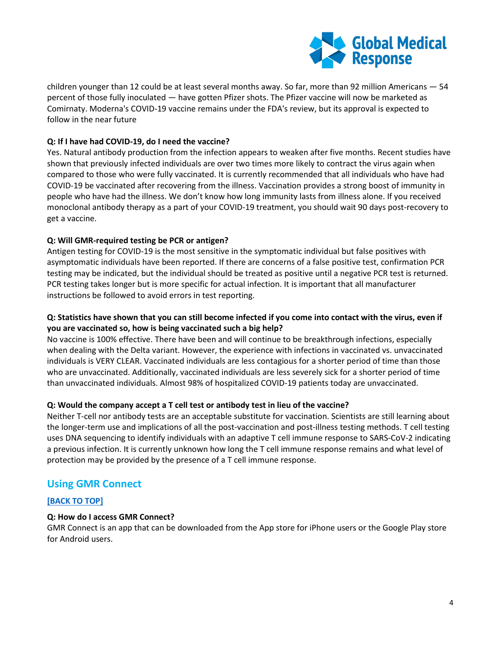

children younger than 12 could be at least several months away. So far, more than 92 million Americans — 54 percent of those fully inoculated — have gotten Pfizer shots. The Pfizer vaccine will now be marketed as Comirnaty. Moderna's COVID-19 vaccine remains under the FDA's review, but its approval is expected to follow in the near future

## **Q: If I have had COVID-19, do I need the vaccine?**

Yes. Natural antibody production from the infection appears to weaken after five months. Recent studies have shown that previously infected individuals are over two times more likely to contract the virus again when compared to those who were fully vaccinated. It is currently recommended that all individuals who have had COVID-19 be vaccinated after recovering from the illness. Vaccination provides a strong boost of immunity in people who have had the illness. We don't know how long immunity lasts from illness alone. If you received monoclonal antibody therapy as a part of your COVID-19 treatment, you should wait 90 days post-recovery to get a vaccine.

## **Q: Will GMR-required testing be PCR or antigen?**

Antigen testing for COVID-19 is the most sensitive in the symptomatic individual but false positives with asymptomatic individuals have been reported. If there are concerns of a false positive test, confirmation PCR testing may be indicated, but the individual should be treated as positive until a negative PCR test is returned. PCR testing takes longer but is more specific for actual infection. It is important that all manufacturer instructions be followed to avoid errors in test reporting.

## **Q: Statistics have shown that you can still become infected if you come into contact with the virus, even if you are vaccinated so, how is being vaccinated such a big help?**

No vaccine is 100% effective. There have been and will continue to be breakthrough infections, especially when dealing with the Delta variant. However, the experience with infections in vaccinated vs. unvaccinated individuals is VERY CLEAR. Vaccinated individuals are less contagious for a shorter period of time than those who are unvaccinated. Additionally, vaccinated individuals are less severely sick for a shorter period of time than unvaccinated individuals. Almost 98% of hospitalized COVID-19 patients today are unvaccinated.

#### **Q: Would the company accept a T cell test or antibody test in lieu of the vaccine?**

Neither T-cell nor antibody tests are an acceptable substitute for vaccination. Scientists are still learning about the longer-term use and implications of all the post-vaccination and post-illness testing methods. T cell testing uses DNA sequencing to identify individuals with an adaptive T cell immune response to SARS-CoV-2 indicating a previous infection. It is currently unknown how long the T cell immune response remains and what level of protection may be provided by the presence of a T cell immune response.

## <span id="page-3-0"></span>**Using GMR Connect**

## **[\[BACK TO TOP\]](#page-0-1)**

#### **Q: How do I access GMR Connect?**

GMR Connect is an app that can be downloaded from the App store for iPhone users or the Google Play store for Android users.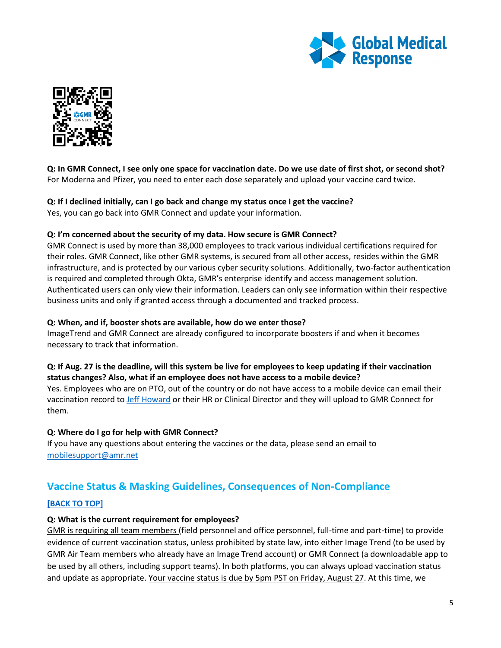



**Q: In GMR Connect, I see only one space for vaccination date. Do we use date of first shot, or second shot?** For Moderna and Pfizer, you need to enter each dose separately and upload your vaccine card twice.

## **Q: If I declined initially, can I go back and change my status once I get the vaccine?**

Yes, you can go back into GMR Connect and update your information.

#### **Q: I'm concerned about the security of my data. How secure is GMR Connect?**

GMR Connect is used by more than 38,000 employees to track various individual certifications required for their roles. GMR Connect, like other GMR systems, is secured from all other access, resides within the GMR infrastructure, and is protected by our various cyber security solutions. Additionally, two-factor authentication is required and completed through Okta, GMR's enterprise identify and access management solution. Authenticated users can only view their information. Leaders can only see information within their respective business units and only if granted access through a documented and tracked process.

#### **Q: When, and if, booster shots are available, how do we enter those?**

ImageTrend and GMR Connect are already configured to incorporate boosters if and when it becomes necessary to track that information.

## **Q: If Aug. 27 is the deadline, will this system be live for employees to keep updating if their vaccination status changes? Also, what if an employee does not have access to a mobile device?**

Yes. Employees who are on PTO, out of the country or do not have access to a mobile device can email their vaccination record to [Jeff Howard](mailto:jeff.howard@gmr.net) or their HR or Clinical Director and they will upload to GMR Connect for them.

#### **Q: Where do I go for help with GMR Connect?**

If you have any questions about entering the vaccines or the data, please send an email to [mobilesupport@amr.net](mailto:mobilesupport@amr.net)

## <span id="page-4-0"></span>**Vaccine Status & Masking Guidelines, Consequences of Non-Compliance**

## **[\[BACK TO TOP\]](#page-0-1)**

#### **Q: What is the current requirement for employees?**

GMR is requiring all team members (field personnel and office personnel, full-time and part-time) to provide evidence of current vaccination status, unless prohibited by state law, into either Image Trend (to be used by GMR Air Team members who already have an Image Trend account) or GMR Connect (a downloadable app to be used by all others, including support teams). In both platforms, you can always upload vaccination status and update as appropriate. Your vaccine status is due by 5pm PST on Friday, August 27. At this time, we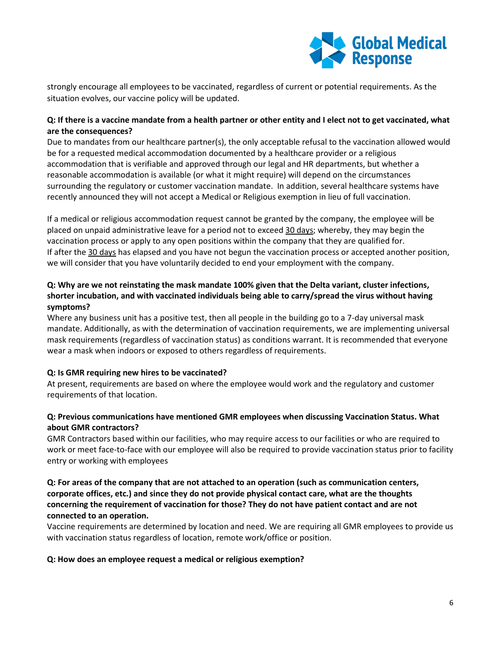

strongly encourage all employees to be vaccinated, regardless of current or potential requirements. As the situation evolves, our vaccine policy will be updated.

## **Q: If there is a vaccine mandate from a health partner or other entity and I elect not to get vaccinated, what are the consequences?**

Due to mandates from our healthcare partner(s), the only acceptable refusal to the vaccination allowed would be for a requested medical accommodation documented by a healthcare provider or a religious accommodation that is verifiable and approved through our legal and HR departments, but whether a reasonable accommodation is available (or what it might require) will depend on the circumstances surrounding the regulatory or customer vaccination mandate. In addition, several healthcare systems have recently announced they will not accept a Medical or Religious exemption in lieu of full vaccination.

If a medical or religious accommodation request cannot be granted by the company, the employee will be placed on unpaid administrative leave for a period not to exceed 30 days; whereby, they may begin the vaccination process or apply to any open positions within the company that they are qualified for. If after the 30 days has elapsed and you have not begun the vaccination process or accepted another position, we will consider that you have voluntarily decided to end your employment with the company.

## **Q: Why are we not reinstating the mask mandate 100% given that the Delta variant, cluster infections, shorter incubation, and with vaccinated individuals being able to carry/spread the virus without having symptoms?**

Where any business unit has a positive test, then all people in the building go to a 7-day universal mask mandate. Additionally, as with the determination of vaccination requirements, we are implementing universal mask requirements (regardless of vaccination status) as conditions warrant. It is recommended that everyone wear a mask when indoors or exposed to others regardless of requirements.

## **Q: Is GMR requiring new hires to be vaccinated?**

At present, requirements are based on where the employee would work and the regulatory and customer requirements of that location.

## **Q: Previous communications have mentioned GMR employees when discussing Vaccination Status. What about GMR contractors?**

GMR Contractors based within our facilities, who may require access to our facilities or who are required to work or meet face-to-face with our employee will also be required to provide vaccination status prior to facility entry or working with employees

## **Q: For areas of the company that are not attached to an operation (such as communication centers, corporate offices, etc.) and since they do not provide physical contact care, what are the thoughts concerning the requirement of vaccination for those? They do not have patient contact and are not connected to an operation.**

Vaccine requirements are determined by location and need. We are requiring all GMR employees to provide us with vaccination status regardless of location, remote work/office or position.

#### **Q: How does an employee request a medical or religious exemption?**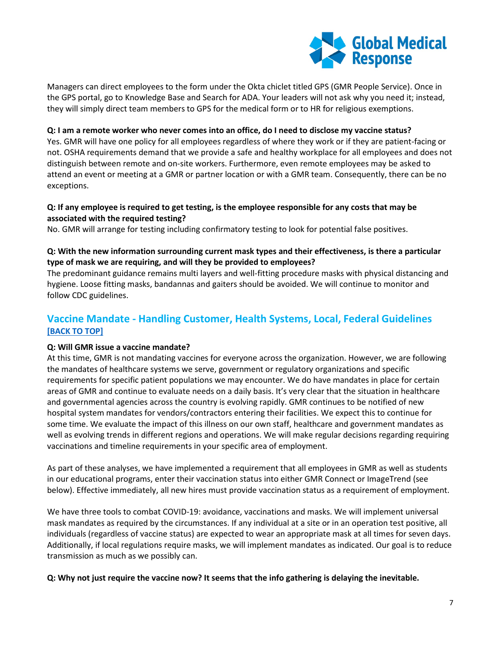

Managers can direct employees to the form under the Okta chiclet titled GPS (GMR People Service). Once in the GPS portal, go to Knowledge Base and Search for ADA. Your leaders will not ask why you need it; instead, they will simply direct team members to GPS for the medical form or to HR for religious exemptions.

#### **Q: I am a remote worker who never comes into an office, do I need to disclose my vaccine status?**

Yes. GMR will have one policy for all employees regardless of where they work or if they are patient-facing or not. OSHA requirements demand that we provide a safe and healthy workplace for all employees and does not distinguish between remote and on-site workers. Furthermore, even remote employees may be asked to attend an event or meeting at a GMR or partner location or with a GMR team. Consequently, there can be no exceptions.

## **Q: If any employee is required to get testing, is the employee responsible for any costs that may be associated with the required testing?**

No. GMR will arrange for testing including confirmatory testing to look for potential false positives.

## **Q: With the new information surrounding current mask types and their effectiveness, is there a particular type of mask we are requiring, and will they be provided to employees?**

The predominant guidance remains multi layers and well-fitting procedure masks with physical distancing and hygiene. Loose fitting masks, bandannas and gaiters should be avoided. We will continue to monitor and follow CDC guidelines.

## <span id="page-6-0"></span>**Vaccine Mandate - Handling Customer, Health Systems, Local, Federal Guidelines [\[BACK TO](#page-0-1) TOP]**

#### **Q: Will GMR issue a vaccine mandate?**

At this time, GMR is not mandating vaccines for everyone across the organization. However, we are following the mandates of healthcare systems we serve, government or regulatory organizations and specific requirements for specific patient populations we may encounter. We do have mandates in place for certain areas of GMR and continue to evaluate needs on a daily basis. It's very clear that the situation in healthcare and governmental agencies across the country is evolving rapidly. GMR continues to be notified of new hospital system mandates for vendors/contractors entering their facilities. We expect this to continue for some time. We evaluate the impact of this illness on our own staff, healthcare and government mandates as well as evolving trends in different regions and operations. We will make regular decisions regarding requiring vaccinations and timeline requirements in your specific area of employment.

As part of these analyses, we have implemented a requirement that all employees in GMR as well as students in our educational programs, enter their vaccination status into either GMR Connect or ImageTrend (see below). Effective immediately, all new hires must provide vaccination status as a requirement of employment.

We have three tools to combat COVID-19: avoidance, vaccinations and masks. We will implement universal mask mandates as required by the circumstances. If any individual at a site or in an operation test positive, all individuals (regardless of vaccine status) are expected to wear an appropriate mask at all times for seven days. Additionally, if local regulations require masks, we will implement mandates as indicated. Our goal is to reduce transmission as much as we possibly can.

#### **Q: Why not just require the vaccine now? It seems that the info gathering is delaying the inevitable.**